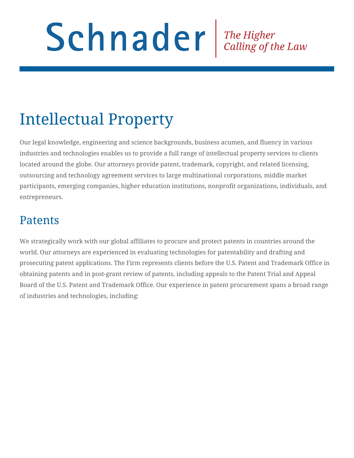# Schnader The Higher Calling of the Law

## Intellectual Property

Our legal knowledge, engineering and science backgrounds, business acumen, and fluency in various industries and technologies enables us to provide a full range of intellectual property services to clients located around the globe. Our attorneys provide patent, trademark, copyright, and related licensing, outsourcing and technology agreement services to large multinational corporations, middle market participants, emerging companies, higher education institutions, nonprofit organizations, individuals, and entrepreneurs.

## Patents

We strategically work with our global affiliates to procure and protect patents in countries around the world. Our attorneys are experienced in evaluating technologies for patentability and drafting and prosecuting patent applications. The Firm represents clients before the U.S. Patent and Trademark Office in obtaining patents and in post-grant review of patents, including appeals to the Patent Trial and Appeal Board of the U.S. Patent and Trademark Office. Our experience in patent procurement spans a broad range of industries and technologies, including: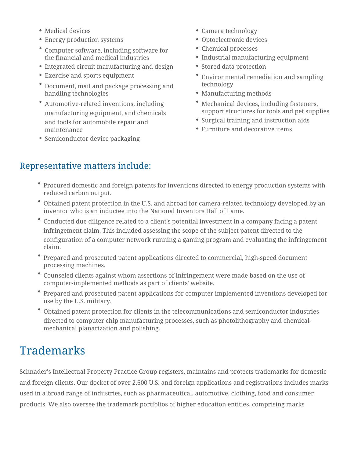- Medical devices
- Energy production systems
- Computer software, including software for the financial and medical industries
- Integrated circuit manufacturing and design
- Exercise and sports equipment
- Document, mail and package processing and handling technologies
- Automotive-related inventions, including manufacturing equipment, and chemicals and tools for automobile repair and maintenance
- Semiconductor device packaging
- Camera technology
- Optoelectronic devices
- Chemical processes
- Industrial manufacturing equipment
- Stored data protection
- Environmental remediation and sampling technology
- Manufacturing methods
- Mechanical devices, including fasteners, support structures for tools and pet supplies
- Surgical training and instruction aids
- Furniture and decorative items

#### Representative matters include:

- Procured domestic and foreign patents for inventions directed to energy production systems with reduced carbon output.
- Obtained patent protection in the U.S. and abroad for camera-related technology developed by an inventor who is an inductee into the National Inventors Hall of Fame.
- Conducted due diligence related to a client's potential investment in a company facing a patent infringement claim. This included assessing the scope of the subject patent directed to the configuration of a computer network running a gaming program and evaluating the infringement claim.
- Prepared and prosecuted patent applications directed to commercial, high-speed document processing machines.
- Counseled clients against whom assertions of infringement were made based on the use of computer-implemented methods as part of clients' website.
- Prepared and prosecuted patent applications for computer implemented inventions developed for use by the U.S. military.
- Obtained patent protection for clients in the telecommunications and semiconductor industries directed to computer chip manufacturing processes, such as photolithography and chemicalmechanical planarization and polishing.

## Trademarks

Schnader's Intellectual Property Practice Group registers, maintains and protects trademarks for domestic and foreign clients. Our docket of over 2,600 U.S. and foreign applications and registrations includes marks used in a broad range of industries, such as pharmaceutical, automotive, clothing, food and consumer products. We also oversee the trademark portfolios of higher education entities, comprising marks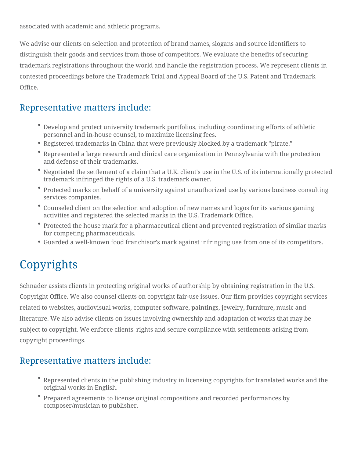associated with academic and athletic programs.

We advise our clients on selection and protection of brand names, slogans and source identifiers to distinguish their goods and services from those of competitors. We evaluate the benefits of securing trademark registrations throughout the world and handle the registration process. We represent clients in contested proceedings before the Trademark Trial and Appeal Board of the U.S. Patent and Trademark Office.

#### Representative matters include:

- Develop and protect university trademark portfolios, including coordinating efforts of athletic personnel and in-house counsel, to maximize licensing fees.
- Registered trademarks in China that were previously blocked by a trademark "pirate."
- Represented a large research and clinical care organization in Pennsylvania with the protection and defense of their trademarks.
- Negotiated the settlement of a claim that a U.K. client's use in the U.S. of its internationally protected trademark infringed the rights of a U.S. trademark owner.
- Protected marks on behalf of a university against unauthorized use by various business consulting services companies.
- Counseled client on the selection and adoption of new names and logos for its various gaming activities and registered the selected marks in the U.S. Trademark Office.
- Protected the house mark for a pharmaceutical client and prevented registration of similar marks for competing pharmaceuticals.
- Guarded a well-known food franchisor's mark against infringing use from one of its competitors.

## Copyrights

Schnader assists clients in protecting original works of authorship by obtaining registration in the U.S. Copyright Office. We also counsel clients on copyright fair-use issues. Our firm provides copyright services related to websites, audiovisual works, computer software, paintings, jewelry, furniture, music and literature. We also advise clients on issues involving ownership and adaptation of works that may be subject to copyright. We enforce clients' rights and secure compliance with settlements arising from copyright proceedings.

#### Representative matters include:

- Represented clients in the publishing industry in licensing copyrights for translated works and the original works in English.
- Prepared agreements to license original compositions and recorded performances by composer/musician to publisher.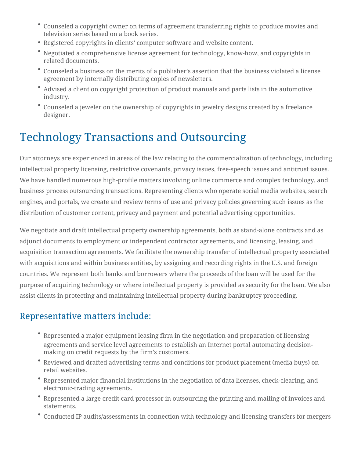- Counseled a copyright owner on terms of agreement transferring rights to produce movies and television series based on a book series.
- Registered copyrights in clients' computer software and website content.
- Negotiated a comprehensive license agreement for technology, know-how, and copyrights in related documents.
- Counseled a business on the merits of a publisher's assertion that the business violated a license agreement by internally distributing copies of newsletters.
- Advised a client on copyright protection of product manuals and parts lists in the automotive industry.
- Counseled a jeweler on the ownership of copyrights in jewelry designs created by a freelance designer.

## Technology Transactions and Outsourcing

Our attorneys are experienced in areas of the law relating to the commercialization of technology, including intellectual property licensing, restrictive covenants, privacy issues, free-speech issues and antitrust issues. We have handled numerous high-profile matters involving online commerce and complex technology, and business process outsourcing transactions. Representing clients who operate social media websites, search engines, and portals, we create and review terms of use and privacy policies governing such issues as the distribution of customer content, privacy and payment and potential advertising opportunities.

We negotiate and draft intellectual property ownership agreements, both as stand-alone contracts and as adjunct documents to employment or independent contractor agreements, and licensing, leasing, and acquisition transaction agreements. We facilitate the ownership transfer of intellectual property associated with acquisitions and within business entities, by assigning and recording rights in the U.S. and foreign countries. We represent both banks and borrowers where the proceeds of the loan will be used for the purpose of acquiring technology or where intellectual property is provided as security for the loan. We also assist clients in protecting and maintaining intellectual property during bankruptcy proceeding.

#### Representative matters include:

- Represented a major equipment leasing firm in the negotiation and preparation of licensing agreements and service level agreements to establish an Internet portal automating decisionmaking on credit requests by the firm's customers.
- Reviewed and drafted advertising terms and conditions for product placement (media buys) on retail websites.
- Represented major financial institutions in the negotiation of data licenses, check-clearing, and electronic-trading agreements.
- Represented a large credit card processor in outsourcing the printing and mailing of invoices and statements.
- Conducted IP audits/assessments in connection with technology and licensing transfers for mergers